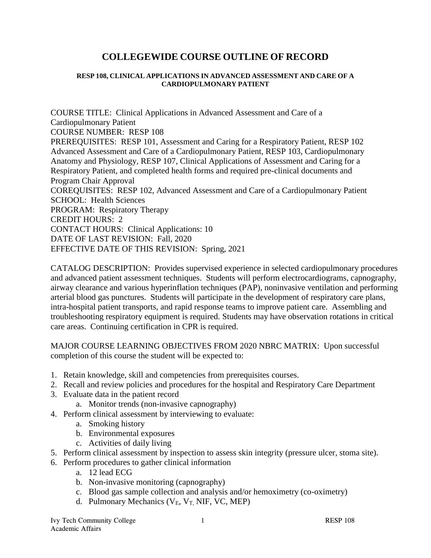# **COLLEGEWIDE COURSE OUTLINE OF RECORD**

#### **RESP 108, CLINICAL APPLICATIONS IN ADVANCED ASSESSMENT AND CARE OF A CARDIOPULMONARY PATIENT**

COURSE TITLE: Clinical Applications in Advanced Assessment and Care of a Cardiopulmonary Patient COURSE NUMBER: RESP 108 PREREQUISITES: RESP 101, Assessment and Caring for a Respiratory Patient, RESP 102 Advanced Assessment and Care of a Cardiopulmonary Patient, RESP 103, Cardiopulmonary Anatomy and Physiology, RESP 107, Clinical Applications of Assessment and Caring for a Respiratory Patient, and completed health forms and required pre-clinical documents and Program Chair Approval COREQUISITES: RESP 102, Advanced Assessment and Care of a Cardiopulmonary Patient SCHOOL: Health Sciences PROGRAM: Respiratory Therapy CREDIT HOURS: 2 CONTACT HOURS: Clinical Applications: 10 DATE OF LAST REVISION: Fall, 2020 EFFECTIVE DATE OF THIS REVISION: Spring, 2021

CATALOG DESCRIPTION: Provides supervised experience in selected cardiopulmonary procedures and advanced patient assessment techniques. Students will perform electrocardiograms, capnography, airway clearance and various hyperinflation techniques (PAP), noninvasive ventilation and performing arterial blood gas punctures. Students will participate in the development of respiratory care plans, intra-hospital patient transports, and rapid response teams to improve patient care. Assembling and troubleshooting respiratory equipment is required. Students may have observation rotations in critical care areas. Continuing certification in CPR is required.

MAJOR COURSE LEARNING OBJECTIVES FROM 2020 NBRC MATRIX: Upon successful completion of this course the student will be expected to:

- 1. Retain knowledge, skill and competencies from prerequisites courses.
- 2. Recall and review policies and procedures for the hospital and Respiratory Care Department
- 3. Evaluate data in the patient record
	- a. Monitor trends (non-invasive capnography)
- 4. Perform clinical assessment by interviewing to evaluate:
	- a. Smoking history
	- b. Environmental exposures
	- c. Activities of daily living
- 5. Perform clinical assessment by inspection to assess skin integrity (pressure ulcer, stoma site).
- 6. Perform procedures to gather clinical information
	- a. 12 lead ECG
	- b. Non-invasive monitoring (capnography)
	- c. Blood gas sample collection and analysis and/or hemoximetry (co-oximetry)
	- d. Pulmonary Mechanics ( $V_E$ ,  $V_T$ , NIF, VC, MEP)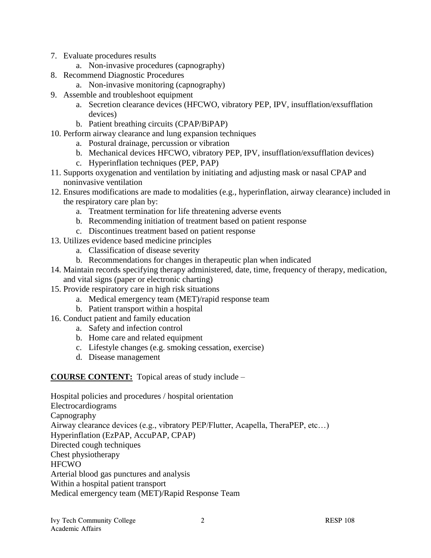- 7. Evaluate procedures results
	- a. Non-invasive procedures (capnography)
- 8. Recommend Diagnostic Procedures
	- a. Non-invasive monitoring (capnography)
- 9. Assemble and troubleshoot equipment
	- a. Secretion clearance devices (HFCWO, vibratory PEP, IPV, insufflation/exsufflation devices)
	- b. Patient breathing circuits (CPAP/BiPAP)
- 10. Perform airway clearance and lung expansion techniques
	- a. Postural drainage, percussion or vibration
	- b. Mechanical devices HFCWO, vibratory PEP, IPV, insufflation/exsufflation devices)
	- c. Hyperinflation techniques (PEP, PAP)
- 11. Supports oxygenation and ventilation by initiating and adjusting mask or nasal CPAP and noninvasive ventilation
- 12. Ensures modifications are made to modalities (e.g., hyperinflation, airway clearance) included in the respiratory care plan by:
	- a. Treatment termination for life threatening adverse events
	- b. Recommending initiation of treatment based on patient response
	- c. Discontinues treatment based on patient response
- 13. Utilizes evidence based medicine principles
	- a. Classification of disease severity
	- b. Recommendations for changes in therapeutic plan when indicated
- 14. Maintain records specifying therapy administered, date, time, frequency of therapy, medication, and vital signs (paper or electronic charting)
- 15. Provide respiratory care in high risk situations
	- a. Medical emergency team (MET)/rapid response team
	- b. Patient transport within a hospital
- 16. Conduct patient and family education
	- a. Safety and infection control
	- b. Home care and related equipment
	- c. Lifestyle changes (e.g. smoking cessation, exercise)
	- d. Disease management

**COURSE CONTENT:** Topical areas of study include –

Hospital policies and procedures / hospital orientation Electrocardiograms Capnography Airway clearance devices (e.g., vibratory PEP/Flutter, Acapella, TheraPEP, etc…) Hyperinflation (EzPAP, AccuPAP, CPAP) Directed cough techniques Chest physiotherapy **HFCWO** Arterial blood gas punctures and analysis Within a hospital patient transport Medical emergency team (MET)/Rapid Response Team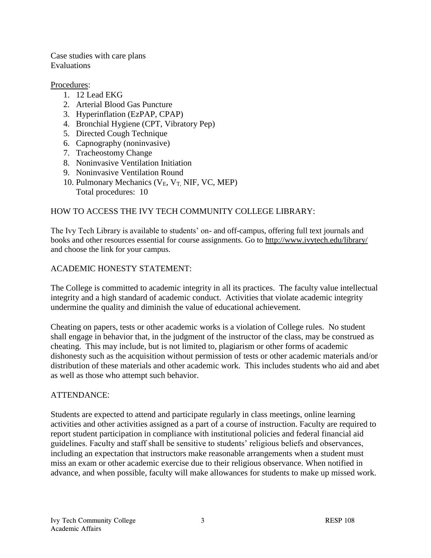Case studies with care plans Evaluations

#### Procedures:

- 1. 12 Lead EKG
- 2. Arterial Blood Gas Puncture
- 3. Hyperinflation (EzPAP, CPAP)
- 4. Bronchial Hygiene (CPT, Vibratory Pep)
- 5. Directed Cough Technique
- 6. Capnography (noninvasive)
- 7. Tracheostomy Change
- 8. Noninvasive Ventilation Initiation
- 9. Noninvasive Ventilation Round
- 10. Pulmonary Mechanics ( $V_E$ ,  $V_T$ , NIF, VC, MEP) Total procedures: 10

# HOW TO ACCESS THE IVY TECH COMMUNITY COLLEGE LIBRARY:

The Ivy Tech Library is available to students' on- and off-campus, offering full text journals and books and other resources essential for course assignments. Go to<http://www.ivytech.edu/library/> and choose the link for your campus.

# ACADEMIC HONESTY STATEMENT:

The College is committed to academic integrity in all its practices. The faculty value intellectual integrity and a high standard of academic conduct. Activities that violate academic integrity undermine the quality and diminish the value of educational achievement.

Cheating on papers, tests or other academic works is a violation of College rules. No student shall engage in behavior that, in the judgment of the instructor of the class, may be construed as cheating. This may include, but is not limited to, plagiarism or other forms of academic dishonesty such as the acquisition without permission of tests or other academic materials and/or distribution of these materials and other academic work. This includes students who aid and abet as well as those who attempt such behavior.

# ATTENDANCE:

Students are expected to attend and participate regularly in class meetings, online learning activities and other activities assigned as a part of a course of instruction. Faculty are required to report student participation in compliance with institutional policies and federal financial aid guidelines. Faculty and staff shall be sensitive to students' religious beliefs and observances, including an expectation that instructors make reasonable arrangements when a student must miss an exam or other academic exercise due to their religious observance. When notified in advance, and when possible, faculty will make allowances for students to make up missed work.